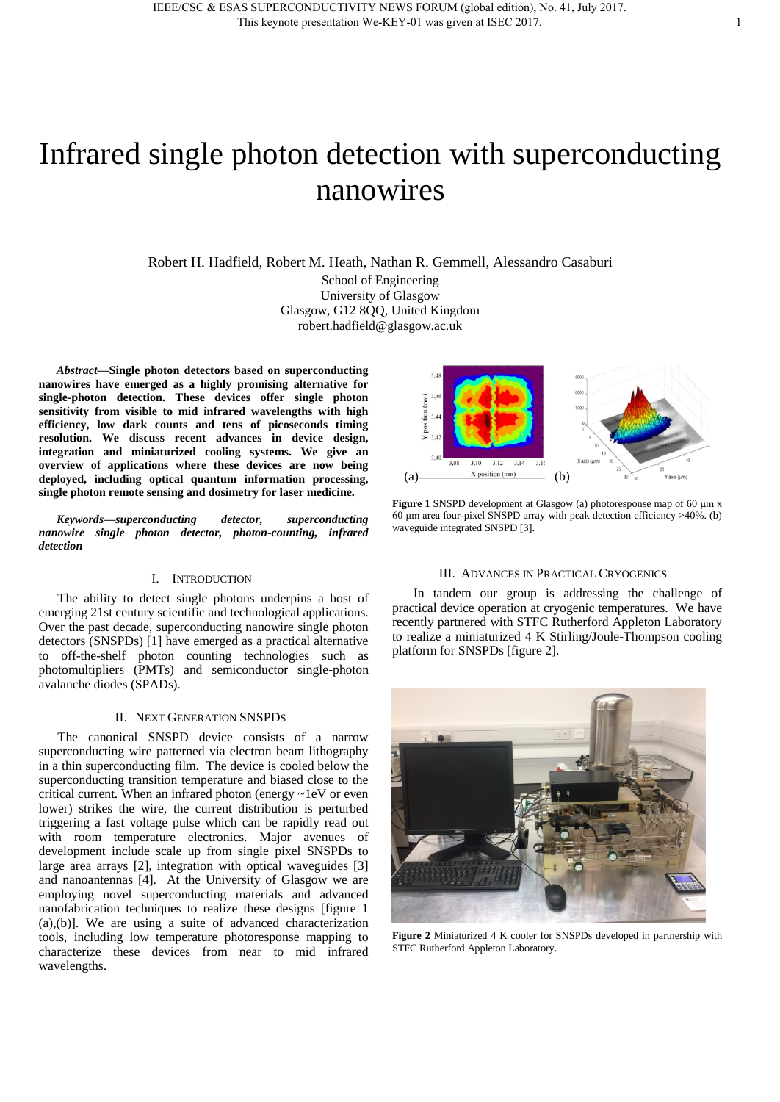# Infrared single photon detection with superconducting nanowires

Robert H. Hadfield, Robert M. Heath, Nathan R. Gemmell, Alessandro Casaburi School of Engineering University of Glasgow Glasgow, G12 8QQ, United Kingdom robert.hadfield@glasgow.ac.uk

*Abstract***—Single photon detectors based on superconducting nanowires have emerged as a highly promising alternative for single-photon detection. These devices offer single photon sensitivity from visible to mid infrared wavelengths with high efficiency, low dark counts and tens of picoseconds timing resolution. We discuss recent advances in device design, integration and miniaturized cooling systems. We give an overview of applications where these devices are now being deployed, including optical quantum information processing, single photon remote sensing and dosimetry for laser medicine.** 

*Keywords—superconducting detector, superconducting nanowire single photon detector, photon-counting, infrared detection* 

## I. INTRODUCTION

The ability to detect single photons underpins a host of emerging 21st century scientific and technological applications. Over the past decade, superconducting nanowire single photon detectors (SNSPDs) [1] have emerged as a practical alternative to off-the-shelf photon counting technologies such as photomultipliers (PMTs) and semiconductor single-photon avalanche diodes (SPADs).

#### II. NEXT GENERATION SNSPDS

The canonical SNSPD device consists of a narrow superconducting wire patterned via electron beam lithography in a thin superconducting film. The device is cooled below the superconducting transition temperature and biased close to the critical current. When an infrared photon (energy ~1eV or even lower) strikes the wire, the current distribution is perturbed triggering a fast voltage pulse which can be rapidly read out with room temperature electronics. Major avenues of development include scale up from single pixel SNSPDs to large area arrays [2], integration with optical waveguides [3] and nanoantennas [4]. At the University of Glasgow we are employing novel superconducting materials and advanced nanofabrication techniques to realize these designs [figure 1 (a),(b)]. We are using a suite of advanced characterization tools, including low temperature photoresponse mapping to characterize these devices from near to mid infrared wavelengths.



**Figure 1** SNSPD development at Glasgow (a) photoresponse map of 60 μm x 60 μm area four-pixel SNSPD array with peak detection efficiency >40%. (b) waveguide integrated SNSPD [3].

#### III. ADVANCES IN PRACTICAL CRYOGENICS

In tandem our group is addressing the challenge of practical device operation at cryogenic temperatures. We have recently partnered with STFC Rutherford Appleton Laboratory to realize a miniaturized 4 K Stirling/Joule-Thompson cooling platform for SNSPDs [figure 2].



**Figure 2** Miniaturized 4 K cooler for SNSPDs developed in partnership with STFC Rutherford Appleton Laboratory.